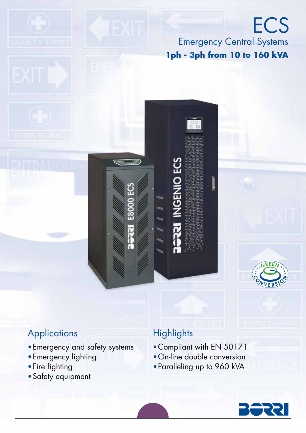# **Applications**

- •Emergency and safety systems
- •Emergency lighting
- •Fire fighting
- •Safety equipment

# **Highlights**

<u>င္မ</u>ာ

•Compliant with EN 50171

Emergency Central Systems

**ECS** 

**1ph - 3ph from 10 to 160 kVA**

- •On-line double conversion
- •Paralleling up to 960 kVA

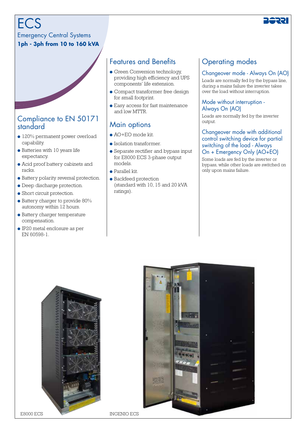**ECS** 

Emergency Central Systems **1ph - 3ph from 10 to 160 kVA**

### Compliance to EN 50171 standard

- 120% permanent power overload capability.
- Batteries with 10 years life expectancy.
- Acid proof battery cabinets and racks.
- Battery polarity reversal protection.
- Deep discharge protection.
- Short circuit protection.
- Battery charger to provide 80% autonomy within 12 hours.
- Battery charger temperature compensation.
- IP20 metal enclosure as per EN 60598-1.

## Features and Benefits

- Green Conversion technology, providing high efficiency and UPS components' life extension.
- Compact transformer free design for small footprint.
- Easy access for fast maintenance and low MTTR.

## Main options

- $\bullet$  AO+EO mode kit.
- Isolation transformer.
- Separate rectifier and bypass input for E8000 ECS 3-phase output models.
- Parallel kit.
- Backfeed protection (standard with 10, 15 and 20 kVA ratings).

### Operating modes

### Changeover mode - Always On (AO)

Loads are normally fed by the bypass line, during a mains failure the inverter takes over the load without interruption.

#### Mode without interruption - Always On (AO)

Loads are normally fed by the inverter output.

#### Changeover mode with additional control switching device for partial switching of the load - Always On + Emergency Only (AO+EO)

Some loads are fed by the inverter or bypass, while other loads are switched on only upon mains failure.





E8000 ECS INGENIO ECS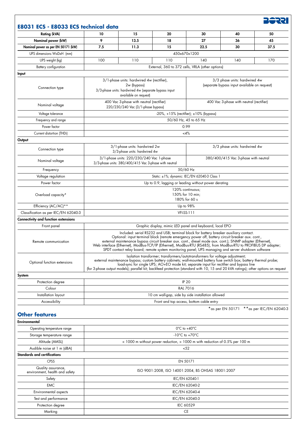| E8031 ECS - E8033 ECS technical data                 |                                                                                                                                                                                                                                                                                                                                                                                                                                                                                                                                 |      |                                                          |                                                                               |                                            |      |  |
|------------------------------------------------------|---------------------------------------------------------------------------------------------------------------------------------------------------------------------------------------------------------------------------------------------------------------------------------------------------------------------------------------------------------------------------------------------------------------------------------------------------------------------------------------------------------------------------------|------|----------------------------------------------------------|-------------------------------------------------------------------------------|--------------------------------------------|------|--|
| Rating (kVA)                                         | 10                                                                                                                                                                                                                                                                                                                                                                                                                                                                                                                              | 15   | 20                                                       | 30                                                                            | 40                                         | 50   |  |
| Nominal power (kW)                                   | 9                                                                                                                                                                                                                                                                                                                                                                                                                                                                                                                               | 13.5 | 18                                                       | 27                                                                            | 36                                         | 45   |  |
| Nominal power as per EN 50171 (kW)                   | 7.5                                                                                                                                                                                                                                                                                                                                                                                                                                                                                                                             | 11.3 | 15                                                       | 22.5                                                                          | 30                                         | 37.5 |  |
| UPS dimensions WxDxH (mm)                            | 450x670x1200                                                                                                                                                                                                                                                                                                                                                                                                                                                                                                                    |      |                                                          |                                                                               |                                            |      |  |
| UPS weight (kg)                                      | 100                                                                                                                                                                                                                                                                                                                                                                                                                                                                                                                             | 110  | 110                                                      | 140                                                                           | 140                                        | 170  |  |
| Battery configuration                                |                                                                                                                                                                                                                                                                                                                                                                                                                                                                                                                                 |      | External, 360 to 372 cells, VRLA (other options)         |                                                                               |                                            |      |  |
| Input                                                |                                                                                                                                                                                                                                                                                                                                                                                                                                                                                                                                 |      |                                                          |                                                                               |                                            |      |  |
|                                                      | 3/1-phase units: hardwired 4w (rectifier),<br>2w (bypass)                                                                                                                                                                                                                                                                                                                                                                                                                                                                       |      |                                                          | 3/3 phase units: hardwired 4w<br>(separate bypass input available on request) |                                            |      |  |
| Connection type                                      | 3/3-phase units: hardwired 4w (separate bypass input<br>available on request)                                                                                                                                                                                                                                                                                                                                                                                                                                                   |      |                                                          |                                                                               |                                            |      |  |
| Nominal voltage                                      | 400 Vac 3-phase with neutral (rectifier)<br>220/230/240 Vac (3/1-phase bypass)                                                                                                                                                                                                                                                                                                                                                                                                                                                  |      |                                                          |                                                                               | 400 Vac 3-phase with neutral (rectifier)   |      |  |
| Voltage tolerance                                    | $-20\%$ , +15% (rectifier); ±10% (bypass)                                                                                                                                                                                                                                                                                                                                                                                                                                                                                       |      |                                                          |                                                                               |                                            |      |  |
| Frequency and range                                  | 50/60 Hz, 45 to 65 Hz                                                                                                                                                                                                                                                                                                                                                                                                                                                                                                           |      |                                                          |                                                                               |                                            |      |  |
| Power factor                                         | 0.99                                                                                                                                                                                                                                                                                                                                                                                                                                                                                                                            |      |                                                          |                                                                               |                                            |      |  |
| Current distortion (THDi)                            |                                                                                                                                                                                                                                                                                                                                                                                                                                                                                                                                 |      | $<$ 4%                                                   |                                                                               |                                            |      |  |
| Output                                               |                                                                                                                                                                                                                                                                                                                                                                                                                                                                                                                                 |      |                                                          |                                                                               |                                            |      |  |
| Connection type                                      | 3/1-phase units: hardwired 2w<br>3/3-phase units: hardwired 4w                                                                                                                                                                                                                                                                                                                                                                                                                                                                  |      |                                                          | 3/3 phase units: hardwired 4w                                                 |                                            |      |  |
| Nominal voltage                                      | 3/1-phase units: 220/230/240 Vac 1-phase<br>380/400/415 Vac 3-phase with neutral<br>3/3-phase units: 380/400/415 Vac 3-phase with neutral                                                                                                                                                                                                                                                                                                                                                                                       |      |                                                          |                                                                               |                                            |      |  |
| Frequency                                            |                                                                                                                                                                                                                                                                                                                                                                                                                                                                                                                                 |      | 50/60 Hz                                                 |                                                                               |                                            |      |  |
| Voltage regulation                                   | Static: ±1%; dynamic: IEC/EN 62040-3 Class 1                                                                                                                                                                                                                                                                                                                                                                                                                                                                                    |      |                                                          |                                                                               |                                            |      |  |
| Power factor                                         | Up to 0.9, lagging or leading without power derating                                                                                                                                                                                                                                                                                                                                                                                                                                                                            |      |                                                          |                                                                               |                                            |      |  |
|                                                      | 120% continuous;                                                                                                                                                                                                                                                                                                                                                                                                                                                                                                                |      |                                                          |                                                                               |                                            |      |  |
| Overload capacity*                                   | 150% for 10 min;<br>180% for 60 s                                                                                                                                                                                                                                                                                                                                                                                                                                                                                               |      |                                                          |                                                                               |                                            |      |  |
| Efficiency (AC/AC)**                                 | Up to 98%                                                                                                                                                                                                                                                                                                                                                                                                                                                                                                                       |      |                                                          |                                                                               |                                            |      |  |
| Classification as per IEC/EN 62040-3                 |                                                                                                                                                                                                                                                                                                                                                                                                                                                                                                                                 |      | <b>VFI-SS-111</b>                                        |                                                                               |                                            |      |  |
| <b>Connectivity and function extensions</b>          |                                                                                                                                                                                                                                                                                                                                                                                                                                                                                                                                 |      |                                                          |                                                                               |                                            |      |  |
| Front panel                                          |                                                                                                                                                                                                                                                                                                                                                                                                                                                                                                                                 |      | Graphic display, mimic LED panel and keyboard, local EPO |                                                                               |                                            |      |  |
| Remote communication                                 | Included: serial RS232 and USB; terminal block for battery breaker auxiliary contact.<br>Optional: input terminal block (remote emergency power off, battery circuit breaker aux. cont.,<br>external maintenance bypass circuit breaker aux. cont., diesel mode aux. cont.); SNMP adapter (Ethernet),<br>Web interface (Ethernet), ModBus-TCP/IP (Ethernet), ModBus-RTU (RS485), from ModBus-RTU to PROFIBUS DP adapter;<br>SPDT contact relay board; remote system monitoring panel; UPS managing and server shutdown software |      |                                                          |                                                                               |                                            |      |  |
| Optional function extensions                         | Isolation transformer; transformers/autotransformers for voltage adjustment;<br>external maintenance bypass; custom battery cabinets; wall-mounted battery fuse switch box; battery thermal probe;<br>load-sync for single UPS; AO+EO mode kit; separate input for rectifier and bypass line<br>(for 3-phase output models); parallel kit; backfeed protection (standard with 10, 15 and 20 kVA ratings); other options on request                                                                                              |      |                                                          |                                                                               |                                            |      |  |
| System                                               |                                                                                                                                                                                                                                                                                                                                                                                                                                                                                                                                 |      |                                                          |                                                                               |                                            |      |  |
| Protection degree                                    | <b>IP 20</b>                                                                                                                                                                                                                                                                                                                                                                                                                                                                                                                    |      |                                                          |                                                                               |                                            |      |  |
| Colour                                               | <b>RAL 7016</b>                                                                                                                                                                                                                                                                                                                                                                                                                                                                                                                 |      |                                                          |                                                                               |                                            |      |  |
| Installation layout                                  | 10 cm wall-gap, side by side installation allowed                                                                                                                                                                                                                                                                                                                                                                                                                                                                               |      |                                                          |                                                                               |                                            |      |  |
| Accessibility                                        | Front and top access, bottom cable entry                                                                                                                                                                                                                                                                                                                                                                                                                                                                                        |      |                                                          |                                                                               |                                            |      |  |
| <b>Other features</b>                                |                                                                                                                                                                                                                                                                                                                                                                                                                                                                                                                                 |      |                                                          |                                                                               | * as per EN 50171 ** as per IEC/EN 62040-3 |      |  |
| Environmental                                        |                                                                                                                                                                                                                                                                                                                                                                                                                                                                                                                                 |      |                                                          |                                                                               |                                            |      |  |
| Operating temperature range                          | $0^{\circ}$ C to +40 $^{\circ}$ C                                                                                                                                                                                                                                                                                                                                                                                                                                                                                               |      |                                                          |                                                                               |                                            |      |  |
| Storage temperature range                            | $-10^{\circ}$ C to $+70^{\circ}$ C                                                                                                                                                                                                                                                                                                                                                                                                                                                                                              |      |                                                          |                                                                               |                                            |      |  |
| Altitude (AMSL)                                      | < 1000 m without power reduction, > 1000 m with reduction of 0.5% per 100 m                                                                                                                                                                                                                                                                                                                                                                                                                                                     |      |                                                          |                                                                               |                                            |      |  |
| Audible noise at 1 m (dBA)                           |                                                                                                                                                                                                                                                                                                                                                                                                                                                                                                                                 |      | 52                                                       |                                                                               |                                            |      |  |
| <b>Standards and certifications</b>                  |                                                                                                                                                                                                                                                                                                                                                                                                                                                                                                                                 |      |                                                          |                                                                               |                                            |      |  |
| <b>CPSS</b>                                          |                                                                                                                                                                                                                                                                                                                                                                                                                                                                                                                                 |      | EN 50171                                                 |                                                                               |                                            |      |  |
| Quality assurance,<br>environment, health and safety | ISO 9001:2008, ISO 14001:2004, BS OHSAS 18001:2007                                                                                                                                                                                                                                                                                                                                                                                                                                                                              |      |                                                          |                                                                               |                                            |      |  |
| Safety                                               | IEC/EN 62040-1                                                                                                                                                                                                                                                                                                                                                                                                                                                                                                                  |      |                                                          |                                                                               |                                            |      |  |
| <b>EMC</b>                                           | IEC/EN 62040-2                                                                                                                                                                                                                                                                                                                                                                                                                                                                                                                  |      |                                                          |                                                                               |                                            |      |  |
| Environmental aspects                                | IEC/EN 62040-4                                                                                                                                                                                                                                                                                                                                                                                                                                                                                                                  |      |                                                          |                                                                               |                                            |      |  |
| Test and performance                                 | IEC/EN 62040-3                                                                                                                                                                                                                                                                                                                                                                                                                                                                                                                  |      |                                                          |                                                                               |                                            |      |  |
| Protection degree                                    | IEC 60529                                                                                                                                                                                                                                                                                                                                                                                                                                                                                                                       |      |                                                          |                                                                               |                                            |      |  |
| Marking                                              | <b>CE</b>                                                                                                                                                                                                                                                                                                                                                                                                                                                                                                                       |      |                                                          |                                                                               |                                            |      |  |